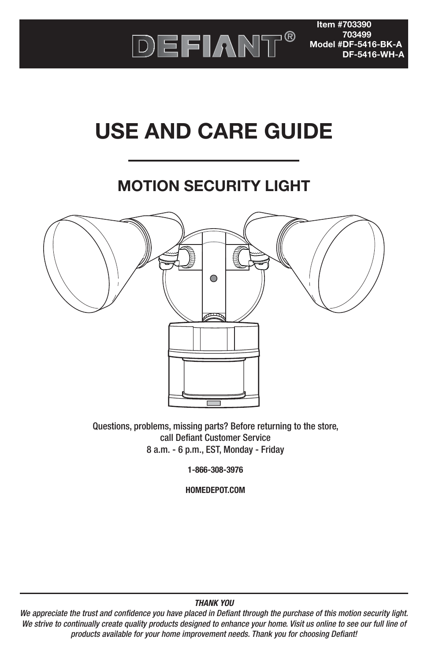

**Item #703390 703499 Model #DF-5416-BK-A DF-5416-WH-A**

# **USE AND CARE GUIDE**

### **MOTION SECURITY LIGHT**



Questions, problems, missing parts? Before returning to the store, call Defiant Customer Service 8 a.m. - 6 p.m., EST, Monday - Friday

**1-866-308-3976**

**HOMEDEPOT.COM**

#### **THANK YOU**

We appreciate the trust and confidence you have placed in Defiant through the purchase of this motion security light. We strive to continually create quality products designed to enhance your home. Visit us online to see our full line of products available for your home improvement needs. Thank you for choosing Defiant!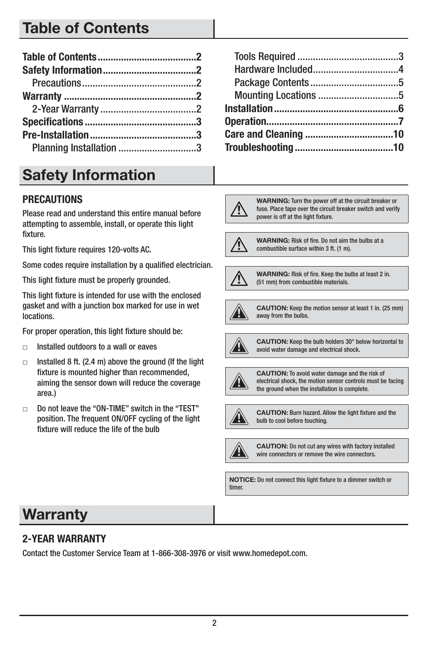### **Table of Contents**

| Planning Installation 3 |  |
|-------------------------|--|

### **Safety Information**

#### **PRECAUTIONS**

Please read and understand this entire manual before attempting to assemble, install, or operate this light fixture.

This light fixture requires 120-volts AC.

Some codes require installation by a qualified electrician.

This light fixture must be properly grounded.

This light fixture is intended for use with the enclosed gasket and with a junction box marked for use in wet locations.

For proper operation, this light fixture should be:

- $\Box$ Installed outdoors to a wall or eaves
- $\Box$  Installed 8 ft. (2.4 m) above the ground (If the light fixture is mounted higher than recommended, aiming the sensor down will reduce the coverage area.)
- $\Box$  Do not leave the "ON-TIME" switch in the "TEST" position. The frequent ON/OFF cycling of the light fixture will reduce the life of the bulb

**WARNING:** Turn the power off at the circuit breaker or fuse. Place tape over the circuit breaker switch and verify power is off at the light fixture.



**WARNING:** Risk of fire. Do not aim the bulbs at a combustible surface within 3 ft. (1 m).



**WARNING:** Risk of fire. Keep the bulbs at least 2 in. (51 mm) from combustible materials.



**CAUTION:** Keep the motion sensor at least 1 in. (25 mm) away from the bulbs.



**CAUTION:** Keep the bulb holders 30° below horizontal to avoid water damage and electrical shock.



**CAUTION:** To avoid water damage and the risk of electrical shock, the motion sensor controls must be facing the ground when the installation is complete.



**CAUTION:** Burn hazard. Allow the light fixture and the bulb to cool before touching.



**CAUTION:** Do not cut any wires with factory installed wire connectors or remove the wire connectors.

**NOTICE:** Do not connect this light fixture to a dimmer switch or timer.

### **Warranty**

#### **2-YEAR WARRANTY**

Contact the Customer Service Team at 1-866-308-3976 or visit www.homedepot.com.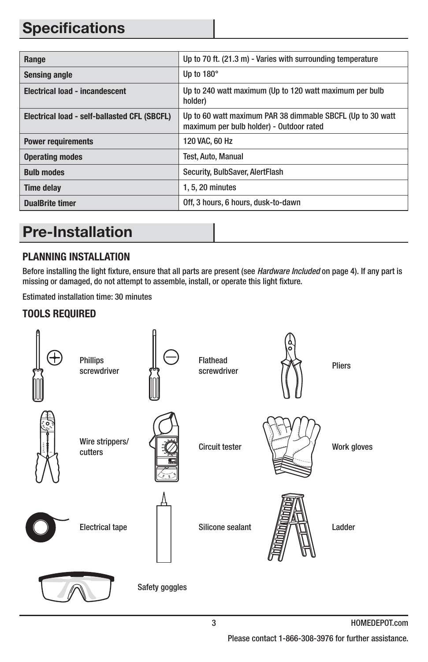### **Specifications**

| Range                                        | Up to 70 ft. (21.3 m) - Varies with surrounding temperature                                            |
|----------------------------------------------|--------------------------------------------------------------------------------------------------------|
| <b>Sensing angle</b>                         | Up to $180^\circ$                                                                                      |
| <b>Electrical load - incandescent</b>        | Up to 240 watt maximum (Up to 120 watt maximum per bulb<br>holder)                                     |
| Electrical load - self-ballasted CFL (SBCFL) | Up to 60 watt maximum PAR 38 dimmable SBCFL (Up to 30 watt<br>maximum per bulb holder) - Outdoor rated |
| <b>Power requirements</b>                    | 120 VAC, 60 Hz                                                                                         |
| <b>Operating modes</b>                       | Test, Auto, Manual                                                                                     |
| <b>Bulb modes</b>                            | Security, BulbSaver, AlertFlash                                                                        |
| <b>Time delay</b>                            | 1, 5, 20 minutes                                                                                       |
| <b>DualBrite timer</b>                       | Off, 3 hours, 6 hours, dusk-to-dawn                                                                    |

### **Pre-Installation**

#### **PLANNING INSTALLATION**

Before installing the light fixture, ensure that all parts are present (see Hardware Included on page 4). If any part is missing or damaged, do not attempt to assemble, install, or operate this light fixture.

Estimated installation time: 30 minutes

#### **TOOLS REQUIRED**

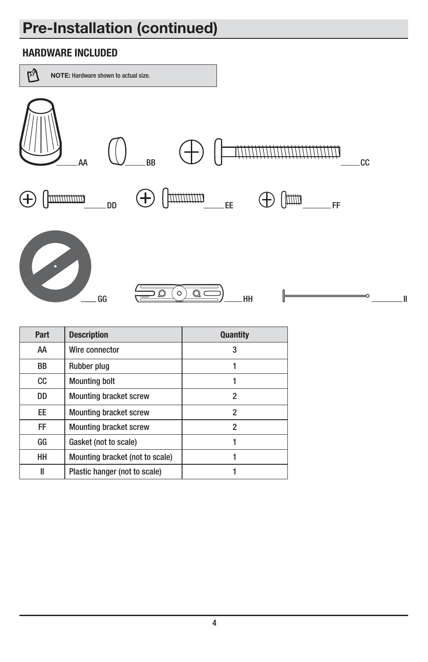### **Pre-Installation (continued)**

#### **HARDWARE INCLUDED**



| Part      | <b>Description</b>              | <b>Quantity</b> |
|-----------|---------------------------------|-----------------|
| AA        | Wire connector                  | 3               |
| <b>BB</b> | Rubber plug                     |                 |
| CC        | <b>Mounting bolt</b>            |                 |
| DD        | <b>Mounting bracket screw</b>   | 2               |
| EE.       | <b>Mounting bracket screw</b>   | 2               |
| <b>FF</b> | <b>Mounting bracket screw</b>   | $\overline{2}$  |
| GG        | Gasket (not to scale)           |                 |
| HH        | Mounting bracket (not to scale) |                 |
| II        | Plastic hanger (not to scale)   |                 |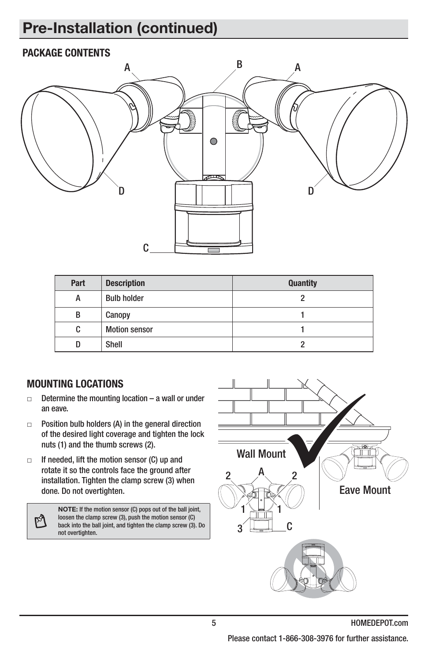### **Pre-Installation (continued)**

#### **PACKAGE CONTENTS**



| Part | <b>Description</b>   | <b>Quantity</b> |
|------|----------------------|-----------------|
| А    | <b>Bulb holder</b>   |                 |
| В    | Canopy               |                 |
| C    | <b>Motion sensor</b> |                 |
| D    | Shell                |                 |

#### **MOUNTING LOCATIONS**

- $\Box$  Determine the mounting location – a wall or under an eave.
- $\Box$  Position bulb holders (A) in the general direction of the desired light coverage and tighten the lock nuts (1) and the thumb screws (2).
- $\Box$  If needed, lift the motion sensor (C) up and rotate it so the controls face the ground after installation. Tighten the clamp screw (3) when done. Do not overtighten.

M

**NOTE:** If the motion sensor (C) pops out of the ball joint, loosen the clamp screw (3), push the motion sensor (C) back into the ball joint, and tighten the clamp screw (3). Do not overtighten.

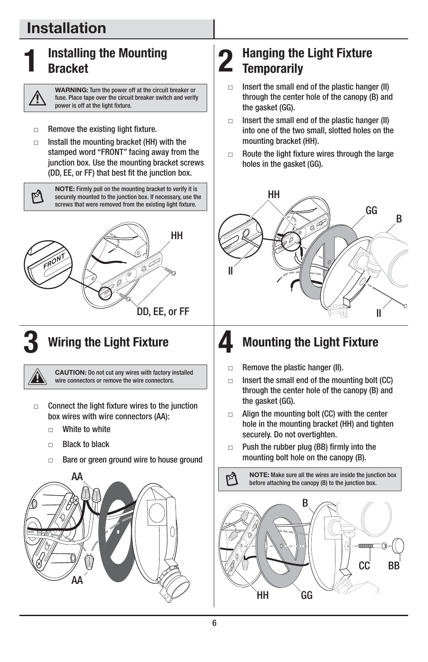### **Installation**



#### **Installing the Mounting Bracket**



**WARNING:** Turn the power off at the circuit breaker or fuse. Place tape over the circuit breaker switch and verify power is off at the light fixture.

#### $\Box$ Remove the existing light fixture.

 $\blacksquare$  Install the mounting bracket (HH) with the stamped word "FRONT" facing away from the junction box. Use the mounting bracket screws (DD, EE, or FF) that best fit the junction box.

> **NOTE:** Firmly pull on the mounting bracket to verify it is securely mounted to the junction box. If necessary, use the screws that were removed from the existing light fixture.





#### **3 Wiring the Light Fixture**

**CAUTION:** Do not cut any wires with factory installed wire connectors or remove the wire connectors.

- $\Box$  Connect the light fixture wires to the junction box wires with wire connectors (AA):
	- $\Box$ White to white
	- $\Box$ Black to black
	- $\Box$ Bare or green ground wire to house ground



#### 2 Hanging the Light Fixture **Temporarily**

- $\Box$  Insert the small end of the plastic hanger (II) through the center hole of the canopy (B) and the gasket (GG).
- $\Box$  Insert the small end of the plastic hanger (II) into one of the two small, slotted holes on the mounting bracket (HH).
- $\Box$  Route the light fixture wires through the large holes in the gasket (GG).



### **4 Mounting the Light Fixture**

- $\Box$ Remove the plastic hanger (II).
- $\Box$  Insert the small end of the mounting bolt (CC) through the center hole of the canopy (B) and the gasket (GG).
- - Align the mounting bolt (CC) with the center hole in the mounting bracket (HH) and tighten securely. Do not overtighten.
- $\Box$  Push the rubber plug (BB) firmly into the mounting bolt hole on the canopy (B).

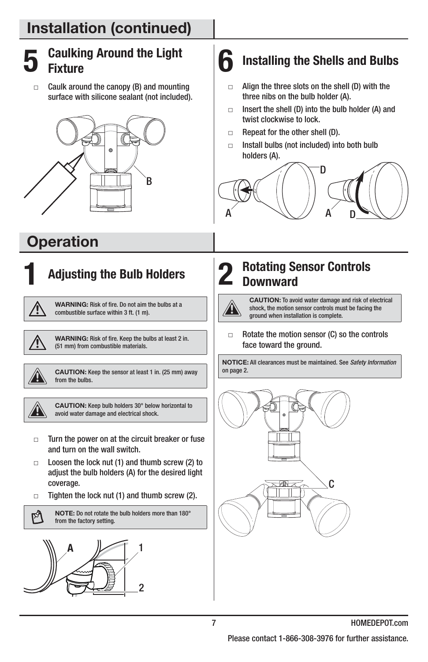### **5 Caulking Around the Light Fixture**

 $\Box$  Caulk around the canopy (B) and mounting surface with silicone sealant (not included).



### **Operation**

## **1 Adjusting the Bulb Holders**

**WARNING:** Risk of fire. Do not aim the bulbs at a combustible surface within 3 ft. (1 m).



**WARNING:** Risk of fire. Keep the bulbs at least 2 in. (51 mm) from combustible materials.



W

M

**CAUTION:** Keep the sensor at least 1 in. (25 mm) away from the bulbs.

**CAUTION:** Keep bulb holders 30° below horizontal to avoid water damage and electrical shock.

- $\Box$  Turn the power on at the circuit breaker or fuse and turn on the wall switch.
- $\Box$  Loosen the lock nut (1) and thumb screw (2) to adjust the bulb holders (A) for the desired light coverage.
- $\Box$ Tighten the lock nut (1) and thumb screw (2).

**NOTE:** Do not rotate the bulb holders more than 180° from the factory setting.



### **6 Installing the Shells and Bulbs**

- $\Box$  Align the three slots on the shell (D) with the three nibs on the bulb holder (A).
- $\Box$  Insert the shell (D) into the bulb holder (A) and twist clockwise to lock.
- $\Box$ Repeat for the other shell (D).
- $\Box$  Install bulbs (not included) into both bulb holders (A).





7 J

**CAUTION:** To avoid water damage and risk of electrical shock, the motion sensor controls must be facing the ground when installation is complete.

 $\Box$  Rotate the motion sensor (C) so the controls face toward the ground.

**NOTICE:** All clearances must be maintained. See Safety Information on page 2.

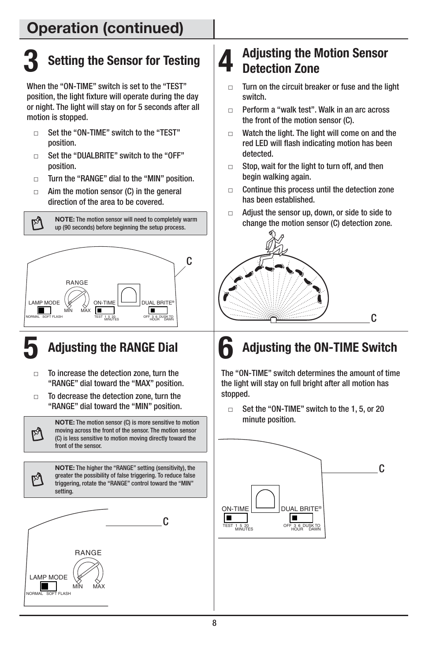# **3 Setting the Sensor for Testing**

When the "ON-TIME" switch is set to the "TEST" position, the light fixture will operate during the day or night. The light will stay on for 5 seconds after all motion is stopped.

- $\Box$  Set the "ON-TIME" switch to the "TEST" position.
- $\Box$  Set the "DUALBRITE" switch to the "OFF" position.
- $\Box$ Turn the "RANGE" dial to the "MIN" position.
- $\Box$  Aim the motion sensor (C) in the general direction of the area to be covered.

**NOTE:** The motion sensor will need to completely warm up (90 seconds) before beginning the setup process.



শি

M

M

### **5 Adjusting the RANGE Dial**

- $\Box$  To increase the detection zone, turn the "RANGE" dial toward the "MAX" position.
- $\Box$  To decrease the detection zone, turn the "RANGE" dial toward the "MIN" position.

**NOTE:** The motion sensor (C) is more sensitive to motion moving across the front of the sensor. The motion sensor (C) is less sensitive to motion moving directly toward the front of the sensor.

**NOTE:** The higher the "RANGE" setting (sensitivity), the greater the possibility of false triggering. To reduce false triggering, rotate the "RANGE" control toward the "MIN" setting.



#### **4 Adjusting the Motion Sensor Detection Zone**

- $\Box$  Turn on the circuit breaker or fuse and the light switch.
- $\Box$  Perform a "walk test". Walk in an arc across the front of the motion sensor (C).
- $\Box$  Watch the light. The light will come on and the red LED will flash indicating motion has been detected.
- $\Box$  Stop, wait for the light to turn off, and then begin walking again.
- $\Box$  Continue this process until the detection zone has been established.
- $\Box$  Adjust the sensor up, down, or side to side to change the motion sensor (C) detection zone.



## **6 Adjusting the ON-TIME Switch**

The "ON-TIME" switch determines the amount of time the light will stay on full bright after all motion has stopped.

 $\Box$  Set the "ON-TIME" switch to the 1, 5, or 20 minute position.

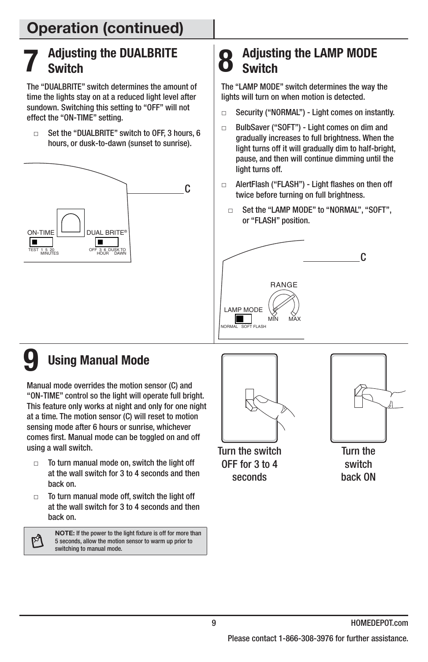#### **7 Adjusting the DUALBRITE Switch**

The "DUALBRITE" switch determines the amount of time the lights stay on at a reduced light level after sundown. Switching this setting to "OFF" will not effect the "ON-TIME" setting.

 $\Box$  Set the "DUALBRITE" switch to OFF, 3 hours, 6 hours, or dusk-to-dawn (sunset to sunrise).



### **8 Adjusting the LAMP MODE Switch**

The "LAMP MODE" switch determines the way the lights will turn on when motion is detected.

- $\Box$ Security ("NORMAL") - Light comes on instantly.
- $\Box$  BulbSaver ("SOFT") - Light comes on dim and gradually increases to full brightness. When the light turns off it will gradually dim to half-bright, pause, and then will continue dimming until the light turns off.
- - AlertFlash ("FLASH") - Light flashes on then off twice before turning on full brightness.
	- $\Box$  Set the "LAMP MODE" to "NORMAL", "SOFT", or "FLASH" position.



### **9 Using Manual Mode**

Manual mode overrides the motion sensor (C) and "ON-TIME" control so the light will operate full bright. This feature only works at night and only for one night at a time. The motion sensor (C) will reset to motion sensing mode after 6 hours or sunrise, whichever comes first. Manual mode can be toggled on and off using a wall switch.

- $\Box$  To turn manual mode on, switch the light off at the wall switch for 3 to 4 seconds and then back on.
- $\Box$  To turn manual mode off, switch the light off at the wall switch for 3 to 4 seconds and then back on.

প

**NOTE:** If the power to the light fixture is off for more than 5 seconds, allow the motion sensor to warm up prior to switching to manual mode.



Turn the switch OFF for 3 to 4 seconds



Turn the switch back ON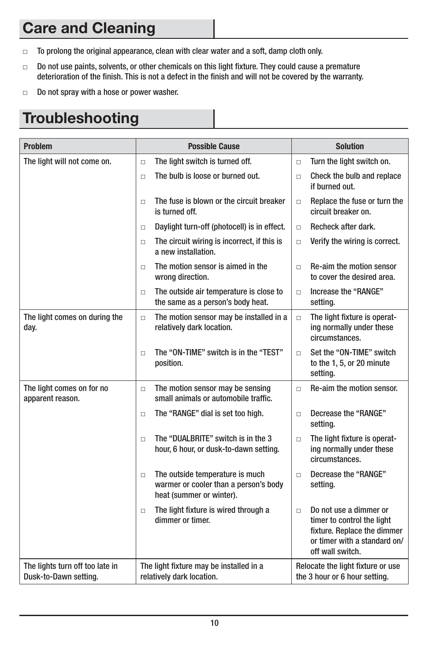### **Care and Cleaning**

- $\Box$ To prolong the original appearance, clean with clear water and a soft, damp cloth only.
- $\Box$  Do not use paints, solvents, or other chemicals on this light fixture. They could cause a premature deterioration of the finish. This is not a defect in the finish and will not be covered by the warranty.
- $\Box$ Do not spray with a hose or power washer.

### **Troubleshooting**

| <b>Problem</b>                                           | <b>Possible Cause</b>                                                                                          |        | <b>Solution</b>                                                                                                                         |
|----------------------------------------------------------|----------------------------------------------------------------------------------------------------------------|--------|-----------------------------------------------------------------------------------------------------------------------------------------|
| The light will not come on.                              | The light switch is turned off.<br>$\Box$                                                                      | $\Box$ | Turn the light switch on.                                                                                                               |
|                                                          | The bulb is loose or burned out.<br>$\Box$                                                                     | $\Box$ | Check the bulb and replace<br>if burned out.                                                                                            |
|                                                          | The fuse is blown or the circuit breaker<br>$\Box$<br>is turned off.                                           | $\Box$ | Replace the fuse or turn the<br>circuit breaker on.                                                                                     |
|                                                          | Daylight turn-off (photocell) is in effect.<br>$\Box$                                                          | $\Box$ | Recheck after dark.                                                                                                                     |
|                                                          | The circuit wiring is incorrect, if this is<br>$\Box$<br>a new installation.                                   | $\Box$ | Verify the wiring is correct.                                                                                                           |
|                                                          | The motion sensor is aimed in the<br>$\Box$<br>wrong direction.                                                | $\Box$ | <b>Re-aim the motion sensor</b><br>to cover the desired area.                                                                           |
|                                                          | The outside air temperature is close to<br>$\Box$<br>the same as a person's body heat.                         | $\Box$ | Increase the "RANGE"<br>setting.                                                                                                        |
| The light comes on during the<br>day.                    | The motion sensor may be installed in a<br>$\Box$<br>relatively dark location.                                 | $\Box$ | The light fixture is operat-<br>ing normally under these<br>circumstances.                                                              |
|                                                          | The "ON-TIME" switch is in the "TEST"<br>$\Box$<br>position.                                                   | $\Box$ | Set the "ON-TIME" switch<br>to the 1, 5, or 20 minute<br>setting.                                                                       |
| The light comes on for no<br>apparent reason.            | The motion sensor may be sensing<br>$\Box$<br>small animals or automobile traffic.                             | $\Box$ | Re-aim the motion sensor.                                                                                                               |
|                                                          | The "RANGE" dial is set too high.<br>$\Box$                                                                    | $\Box$ | Decrease the "RANGE"<br>setting.                                                                                                        |
|                                                          | The "DUALBRITE" switch is in the 3<br>$\Box$<br>hour, 6 hour, or dusk-to-dawn setting.                         | $\Box$ | The light fixture is operat-<br>ing normally under these<br>circumstances.                                                              |
|                                                          | The outside temperature is much<br>$\Box$<br>warmer or cooler than a person's body<br>heat (summer or winter). | $\Box$ | Decrease the "RANGE"<br>setting.                                                                                                        |
|                                                          | The light fixture is wired through a<br>$\Box$<br>dimmer or timer.                                             | $\Box$ | Do not use a dimmer or<br>timer to control the light<br>fixture. Replace the dimmer<br>or timer with a standard on/<br>off wall switch. |
| The lights turn off too late in<br>Dusk-to-Dawn setting. | The light fixture may be installed in a<br>relatively dark location.                                           |        | Relocate the light fixture or use<br>the 3 hour or 6 hour setting.                                                                      |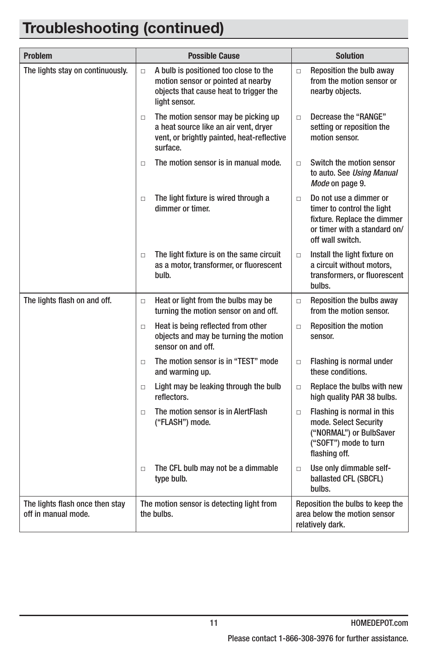### **Troubleshooting (continued)**

| <b>Problem</b>                                         | <b>Possible Cause</b>                                                                                                                            | <b>Solution</b>                                                                                                                                   |
|--------------------------------------------------------|--------------------------------------------------------------------------------------------------------------------------------------------------|---------------------------------------------------------------------------------------------------------------------------------------------------|
| The lights stay on continuously.                       | A bulb is positioned too close to the<br>$\Box$<br>motion sensor or pointed at nearby<br>objects that cause heat to trigger the<br>light sensor. | Reposition the bulb away<br>$\Box$<br>from the motion sensor or<br>nearby objects.                                                                |
|                                                        | The motion sensor may be picking up<br>$\Box$<br>a heat source like an air vent, dryer<br>vent, or brightly painted, heat-reflective<br>surface. | Decrease the "RANGE"<br>$\Box$<br>setting or reposition the<br>motion sensor.                                                                     |
|                                                        | The motion sensor is in manual mode.<br>$\Box$                                                                                                   | Switch the motion sensor<br>$\Box$<br>to auto. See Using Manual<br>Mode on page 9.                                                                |
|                                                        | The light fixture is wired through a<br>$\Box$<br>dimmer or timer.                                                                               | Do not use a dimmer or<br>$\Box$<br>timer to control the light<br>fixture. Replace the dimmer<br>or timer with a standard on/<br>off wall switch. |
|                                                        | The light fixture is on the same circuit<br>$\Box$<br>as a motor, transformer, or fluorescent<br>bulb.                                           | Install the light fixture on<br>$\Box$<br>a circuit without motors,<br>transformers, or fluorescent<br>bulbs.                                     |
| The lights flash on and off.                           | Heat or light from the bulbs may be<br>$\Box$<br>turning the motion sensor on and off.                                                           | Reposition the bulbs away<br>$\Box$<br>from the motion sensor.                                                                                    |
|                                                        | Heat is being reflected from other<br>$\Box$<br>objects and may be turning the motion<br>sensor on and off.                                      | <b>Reposition the motion</b><br>$\Box$<br>sensor.                                                                                                 |
|                                                        | The motion sensor is in "TEST" mode<br>□<br>and warming up.                                                                                      | Flashing is normal under<br>$\Box$<br>these conditions.                                                                                           |
|                                                        | Light may be leaking through the bulb<br>$\Box$<br>reflectors.                                                                                   | Replace the bulbs with new<br>$\Box$<br>high quality PAR 38 bulbs.                                                                                |
|                                                        | The motion sensor is in AlertFlash<br>$\Box$<br>("FLASH") mode.                                                                                  | Flashing is normal in this<br>$\Box$<br>mode. Select Security<br>("NORMAL") or BulbSaver<br>("SOFT") mode to turn<br>flashing off.                |
|                                                        | The CFL bulb may not be a dimmable<br>$\Box$<br>type bulb.                                                                                       | Use only dimmable self-<br>$\Box$<br>ballasted CFL (SBCFL)<br>bulbs.                                                                              |
| The lights flash once then stay<br>off in manual mode. | The motion sensor is detecting light from<br>the bulbs.                                                                                          | Reposition the bulbs to keep the<br>area below the motion sensor<br>relatively dark.                                                              |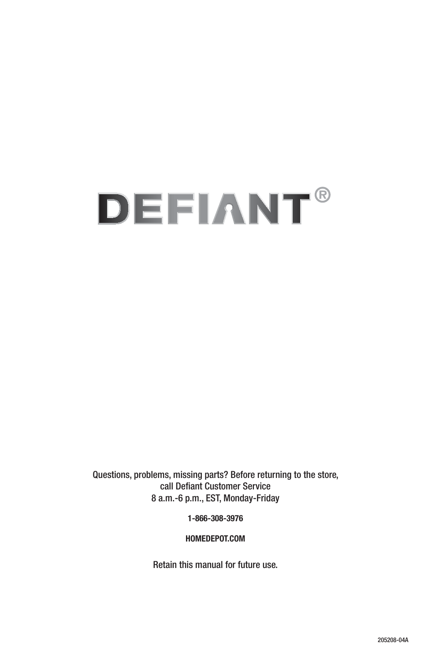# **DEFIANT®**

Questions, problems, missing parts? Before returning to the store, call Defiant Customer Service 8 a.m.-6 p.m., EST, Monday-Friday

**1-866-308-3976**

**HOMEDEPOT.COM**

Retain this manual for future use.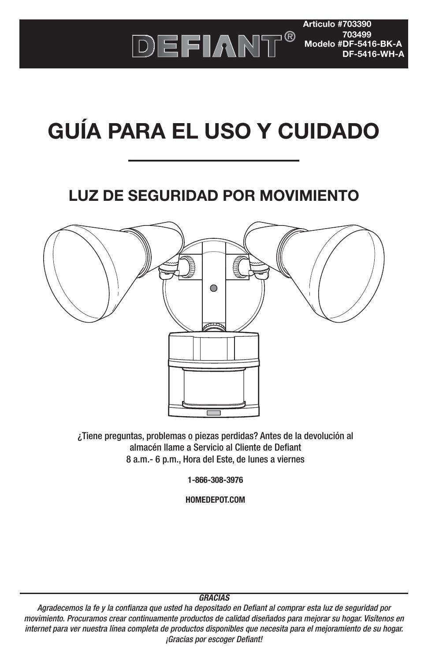

**Articulo #703390 703499 Modelo #DF-5416-BK-A DF-5416-WH-A**

# **GUÍA PARA EL USO Y CUIDADO**

### **LUZ DE SEGURIDAD POR MOVIMIENTO**



¿Tiene preguntas, problemas o piezas perdidas? Antes de la devolución al almacén llame a Servicio al Cliente de Defiant 8 a.m.- 6 p.m., Hora del Este, de lunes a viernes

**1-866-308-3976**

**HOMEDEPOT.COM**

#### **GRACIAS**

Agradecemos la fe y la confianza que usted ha depositado en Defiant al comprar esta luz de seguridad por movimiento. Procuramos crear continuamente productos de calidad diseñados para mejorar su hogar. Visítenos en internet para ver nuestra línea completa de productos disponibles que necesita para el mejoramiento de su hogar. ¡Gracias por escoger Defiant!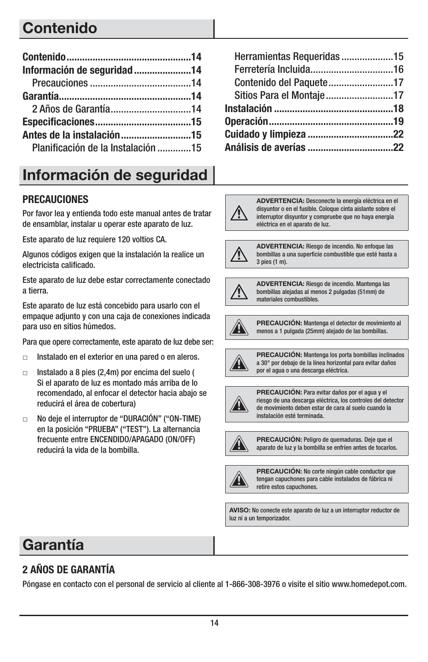### **Contenido**

| Información de seguridad14         |  |
|------------------------------------|--|
|                                    |  |
|                                    |  |
|                                    |  |
|                                    |  |
|                                    |  |
| Planificación de la Instalación 15 |  |

### **Información de seguridad**

#### **PRECAUCIONES**

Por favor lea y entienda todo este manual antes de tratar de ensamblar, instalar u operar este aparato de luz.

Este aparato de luz requiere 120 voltios CA.

Algunos códigos exigen que la instalación la realice un electricista calificado.

Este aparato de luz debe estar correctamente conectado a tierra.

Este aparato de luz está concebido para usarlo con el empaque adjunto y con una caja de conexiones indicada para uso en sitios húmedos.

Para que opere correctamente, este aparato de luz debe ser:

- $\Box$ Instalado en el exterior en una pared o en aleros.
- $\Box$  Instalado a 8 pies (2,4m) por encima del suelo ( Si el aparato de luz es montado más arriba de lo recomendado, al enfocar el detector hacia abajo se reducirá el área de cobertura)
- $\Box$  No deje el interruptor de "DURACIÓN" ("ON-TIME) en la posición "PRUEBA" ("TEST"). La alternancia frecuente entre ENCENDIDO/APAGADO (ON/OFF) reducirá la vida de la bombilla.

| Herramientas Requeridas 15 |  |
|----------------------------|--|
|                            |  |
|                            |  |
| Sitios Para el Montaje17   |  |
|                            |  |
|                            |  |
|                            |  |
|                            |  |

#### **ADVERTENCIA:** Desconecte la energía eléctrica en el disyuntor o en el fusible. Coloque cinta aislante sobre el interruptor disyuntor y compruebe que no haya energía eléctrica en el aparato de luz.



**ADVERTENCIA:** Riesgo de incendio. No enfoque las bombillas a una superficie combustible que esté hasta a 3 pies (1 m).



**ADVERTENCIA:** Riesgo de incendio. Mantenga las bombillas alejadas al menos 2 pulgadas (51mm) de materiales combustibles.



**PRECAUCIÓN:** Mantenga el detector de movimiento al menos a 1 pulgada (25mm) alejado de las bombillas.



**PRECAUCIÓN:** Mantenga los porta bombillas inclinados a 30° por debajo de la línea horizontal para evitar daños por el agua o una descarga eléctrica.



**PRECAUCIÓN:** Para evitar daños por el agua y el riesgo de una descarga eléctrica, los controles del detector de movimiento deben estar de cara al suelo cuando la instalación esté terminada.



**PRECAUCIÓN:** Peligro de quemaduras. Deje que el aparato de luz y la bombilla se enfríen antes de tocarlos.



**PRECAUCIÓN:** No corte ningún cable conductor que tengan capuchones para cable instalados de fábrica ni retire estos capuchones.

**AVISO:** No conecte este aparato de luz a un interruptor reductor de luz ni a un temporizador.

### **Garantía**

#### **2 AÑOS DE GARANTÍA**

Póngase en contacto con el personal de servicio al cliente al 1-866-308-3976 o visite el sitio www.homedepot.com.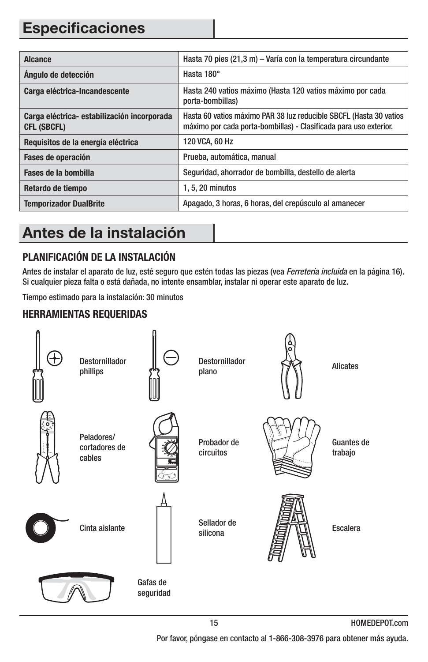### **Especificaciones**

| <b>Alcance</b>                                                   | Hasta 70 pies (21,3 m) - Varía con la temperatura circundante                                                                           |
|------------------------------------------------------------------|-----------------------------------------------------------------------------------------------------------------------------------------|
| Angulo de detección                                              | Hasta 180°                                                                                                                              |
| Carga eléctrica-Incandescente                                    | Hasta 240 vatios máximo (Hasta 120 vatios máximo por cada<br>porta-bombillas)                                                           |
| Carga eléctrica-estabilización incorporada<br><b>CFL (SBCFL)</b> | Hasta 60 vatios máximo PAR 38 luz reducible SBCFL (Hasta 30 vatios<br>máximo por cada porta-bombillas) - Clasificada para uso exterior. |
| Requisitos de la energía eléctrica                               | 120 VCA, 60 Hz                                                                                                                          |
| Fases de operación                                               | Prueba, automática, manual                                                                                                              |
| Fases de la bombilla                                             | Seguridad, ahorrador de bombilla, destello de alerta                                                                                    |
| Retardo de tiempo                                                | 1, 5, 20 minutos                                                                                                                        |
| <b>Temporizador DualBrite</b>                                    | Apagado, 3 horas, 6 horas, del crepúsculo al amanecer                                                                                   |

### **Antes de la instalación**

#### **PLANIFICACIÓN DE LA INSTALACIÓN**

Antes de instalar el aparato de luz, esté seguro que estén todas las piezas (vea Ferretería incluida en la página 16). Si cualquier pieza falta o está dañada, no intente ensamblar, instalar ni operar este aparato de luz.

Tiempo estimado para la instalación: 30 minutos

#### **HERRAMIENTAS REQUERIDAS**



15 HOMEDEPOT.com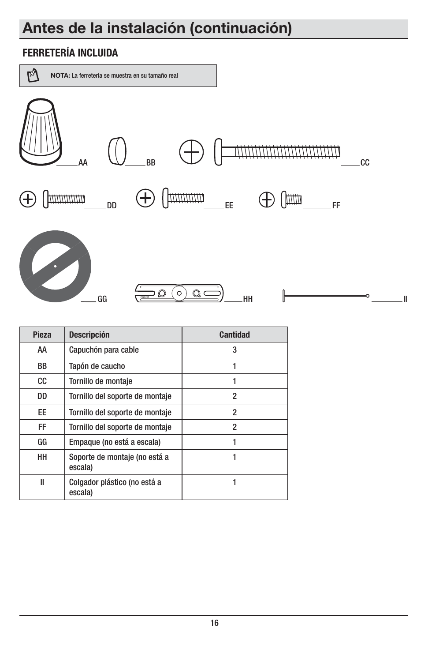### **Antes de la instalación (continuación)**

#### **FERRETERÍA INCLUIDA**



| <b>Pieza</b> | <b>Descripción</b>                       | <b>Cantidad</b> |
|--------------|------------------------------------------|-----------------|
| AA           | Capuchón para cable                      | 3               |
| <b>BB</b>    | Tapón de caucho                          |                 |
| CC.          | Tornillo de montaje                      | 1               |
| DD           | Tornillo del soporte de montaje          | 2               |
| EE           | Tornillo del soporte de montaje          | 2               |
| <b>FF</b>    | Tornillo del soporte de montaje          | 2               |
| GG           | Empaque (no está a escala)               | 1               |
| <b>HH</b>    | Soporte de montaje (no está a<br>escala) | 1               |
| Ш            | Colgador plástico (no está a<br>escala)  |                 |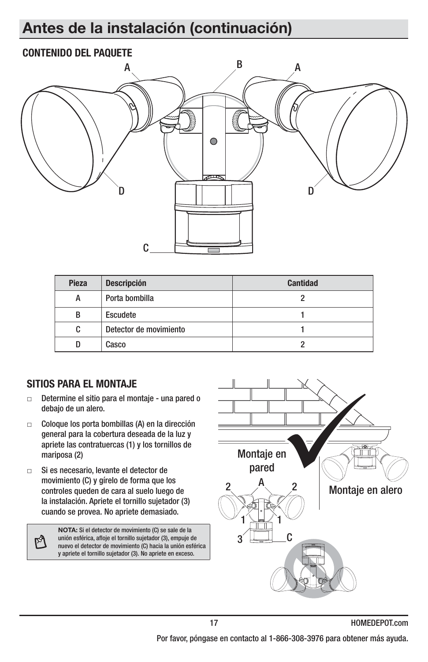### **Antes de la instalación (continuación)**

#### **CONTENIDO DEL PAQUETE**



| <b>Pieza</b> | <b>Descripción</b>     | <b>Cantidad</b> |
|--------------|------------------------|-----------------|
| А            | Porta bombilla         |                 |
| В            | Escudete               |                 |
| C            | Detector de movimiento |                 |
|              | Casco                  |                 |

#### **SITIOS PARA EL MONTAJE**

М

- $\Box$  Determine el sitio para el montaje - una pared o debajo de un alero.
- $\Box$  Coloque los porta bombillas (A) en la dirección general para la cobertura deseada de la luz y apriete las contratuercas (1) y los tornillos de mariposa (2)
- $\Box$  Si es necesario, levante el detector de movimiento (C) y gírelo de forma que los controles queden de cara al suelo luego de la instalación. Apriete el tornillo sujetador (3) cuando se provea. No apriete demasiado.

**NOTA:** Si el detector de movimiento (C) se sale de la unión esférica, afloje el tornillo sujetador (3), empuje de nuevo el detector de movimiento (C) hacia la unión esférica y apriete el tornillo sujetador (3). No apriete en exceso.

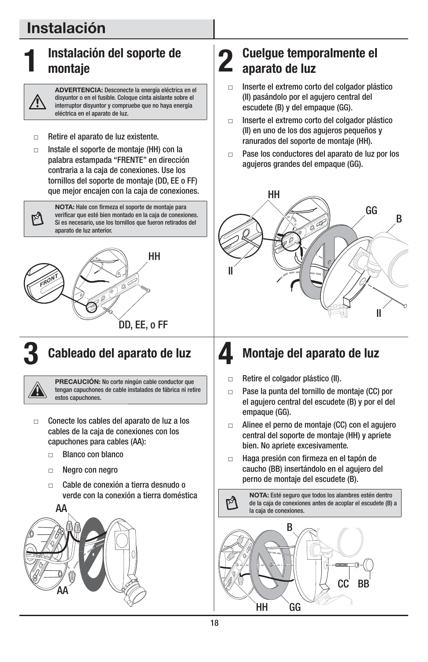### **Instalación**

ø

### **1 Instalación del soporte de montaje**

**ADVERTENCIA:** Desconecte la energía eléctrica en el disyuntor o en el fusible. Coloque cinta aislante sobre el interruptor disyuntor y compruebe que no haya energía eléctrica en el aparato de luz.

- $\Box$ Retire el aparato de luz existente.
- $\Box$  Instale el soporte de montaje (HH) con la palabra estampada "FRENTE" en dirección contraria a la caja de conexiones. Use los tornillos del soporte de montaje (DD, EE o FF) que mejor encajen con la caja de conexiones.

**NOTA:** Hale con firmeza el soporte de montaje para verificar que esté bien montado en la caja de conexiones. Si es necesario, use los tornillos que fueron retirados del aparato de luz anterior.



## **3 Cableado del aparato de luz**

**PRECAUCIÓN:** No corte ningún cable conductor que tengan capuchones de cable instalados de fábrica ni retire estos capuchones.

- $\Box$  Conecte los cables del aparato de luz a los cables de la caja de conexiones con los capuchones para cables (AA):
	- $\Box$ Blanco con blanco
	- $\Box$ Negro con negro
	- $\Box$  Cable de conexión a tierra desnudo o verde con la conexión a tierra doméstica



#### **2 Cuelgue temporalmente el aparato de luz**

- $\Box$  Inserte el extremo corto del colgador plástico (II) pasándolo por el agujero central del escudete (B) y del empaque (GG).
- $\Box$  Inserte el extremo corto del colgador plástico (II) en uno de los dos agujeros pequeños y ranurados del soporte de montaje (HH).
- $\Box$  Pase los conductores del aparato de luz por los agujeros grandes del empaque (GG).



### **4** Montaje del aparato de luz

- $\Box$ Retire el colgador plástico (II).
- $\Box$  Pase la punta del tornillo de montaje (CC) por el agujero central del escudete (B) y por el del empaque (GG).
- $\Box$  Alinee el perno de montaje (CC) con el agujero central del soporte de montaje (HH) y apriete bien. No apriete excesivamente.
- $\Box$  Haga presión con firmeza en el tapón de caucho (BB) insertándolo en el agujero del perno de montaje del escudete (B).

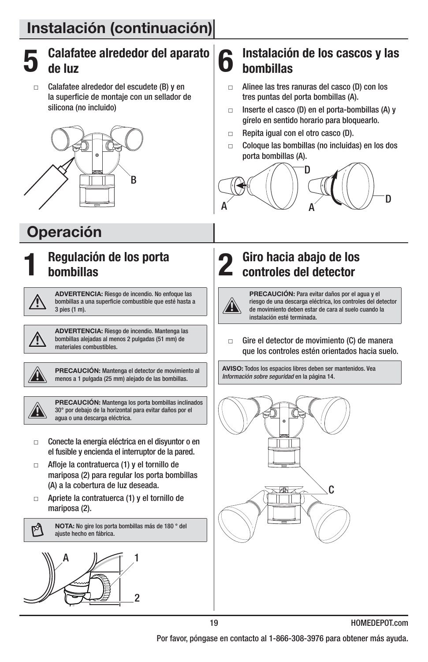

 $\Box$  Calafatee alrededor del escudete (B) y en la superficie de montaje con un sellador de silicona (no incluido)



### **Operación**



#### **1 Regulación de los porta bombillas**



**ADVERTENCIA:** Riesgo de incendio. No enfoque las bombillas a una superficie combustible que esté hasta a 3 pies (1 m).



**ADVERTENCIA:** Riesgo de incendio. Mantenga las bombillas alejadas al menos 2 pulgadas (51 mm) de materiales combustibles.



**PRECAUCIÓN:** Mantenga el detector de movimiento al menos a 1 pulgada (25 mm) alejado de las bombillas.



M

**PRECAUCIÓN:** Mantenga los porta bombillas inclinados 30° por debajo de la horizontal para evitar daños por el agua o una descarga eléctrica.

- $\Box$  Conecte la energía eléctrica en el disyuntor o en el fusible y encienda el interruptor de la pared.
- $\Box$  Afloje la contratuerca (1) y el tornillo de mariposa (2) para regular los porta bombillas (A) a la cobertura de luz deseada.
- $\Box$  Apriete la contratuerca (1) y el tornillo de mariposa (2).

**NOTA:** No gire los porta bombillas más de 180 ° del ajuste hecho en fábrica.



#### **6** Instalación de los cascos y las **bombillas**

- $\Box$  Alinee las tres ranuras del casco (D) con los tres puntas del porta bombillas (A).
- $\Box$  Inserte el casco (D) en el porta-bombillas (A) y gírelo en sentido horario para bloquearlo.
- $\Box$ Repita igual con el otro casco (D).
- $\Box$  Coloque las bombillas (no incluidas) en los dos porta bombillas (A).



**2 Giro hacia abajo de los controles del detector**

**PRECAUCIÓN:** Para evitar daños por el agua y el riesgo de una descarga eléctrica, los controles del detector de movimiento deben estar de cara al suelo cuando la instalación esté terminada.

- Gire el detector de movimiento (C) de manera que los controles estén orientados hacia suelo.

**AVISO:** Todos los espacios libres deben ser mantenidos. Vea Información sobre seguridad en la página 14.



Por favor, póngase en contacto al 1-866-308-3976 para obtener más ayuda.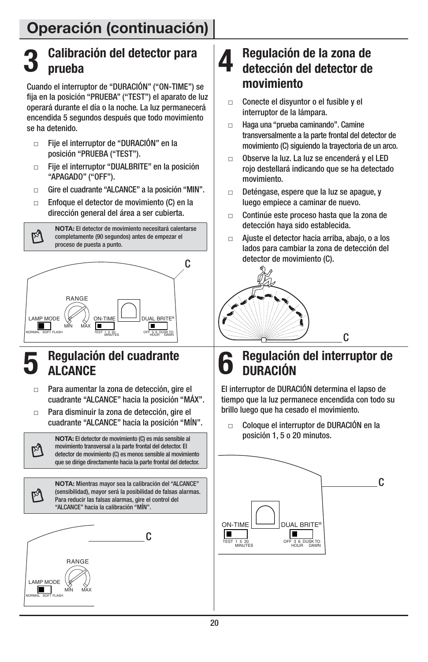#### **3 Calibración del detector para prueba**

Cuando el interruptor de "DURACIÓN" ("ON-TIME") se fija en la posición "PRUEBA" ("TEST") el aparato de luz operará durante el día o la noche. La luz permanecerá encendida 5 segundos después que todo movimiento se ha detenido.

- $\Box$  Fije el interruptor de "DURACIÓN" en la posición "PRUEBA ("TEST").
- $\Box$  Fije el interruptor "DUALBRITE" en la posición "APAGADO" ("OFF").
- $\Box$ Gire el cuadrante "ALCANCE" a la posición "MIN".
- $\Box$  Enfoque el detector de movimiento (C) en la dirección general del área a ser cubierta.

λ,

 $\mathbb{A}$ 

M

**NOTA:** El detector de movimiento necesitará calentarse completamente (90 segundos) antes de empezar el proceso de puesta a punto.



#### **5 Regulación del cuadrante ALCANCE**

- $\Box$  Para aumentar la zona de detección, gire el cuadrante "ALCANCE" hacia la posición "MÁX".
- $\Box$  Para disminuir la zona de detección, gire el cuadrante "ALCANCE" hacia la posición "MÍN".

**NOTA:** El detector de movimiento (C) es más sensible al movimiento transversal a la parte frontal del detector. El detector de movimiento (C) es menos sensible al movimiento que se dirige directamente hacia la parte frontal del detector.

**NOTA:** Mientras mayor sea la calibración del "ALCANCE" (sensibilidad), mayor será la posibilidad de falsas alarmas. Para reducir las falsas alarmas, gire el control del "ALCANCE" hacia la calibración "MÍN".



#### **4 Regulación de la zona de detección del detector de movimiento**

- - Conecte el disyuntor o el fusible y el interruptor de la lámpara.
- $\Box$  Haga una "prueba caminando". Camine transversalmente a la parte frontal del detector de movimiento (C) siguiendo la trayectoria de un arco.
- $\Box$  Observe la luz. La luz se encenderá y el LED rojo destellará indicando que se ha detectado movimiento.
- $\Box$  Deténgase, espere que la luz se apague, y luego empiece a caminar de nuevo.
- $\Box$  Continúe este proceso hasta que la zona de detección haya sido establecida.
- $\Box$  Ajuste el detector hacia arriba, abajo, o a los lados para cambiar la zona de detección del detector de movimiento (C).



### **6 Regulación del interruptor de DURACIÓN**

C

El interruptor de DURACIÓN determina el lapso de tiempo que la luz permanece encendida con todo su brillo luego que ha cesado el movimiento.

 $\Box$  Coloque el interruptor de DURACIÓN en la posición 1, 5 o 20 minutos.

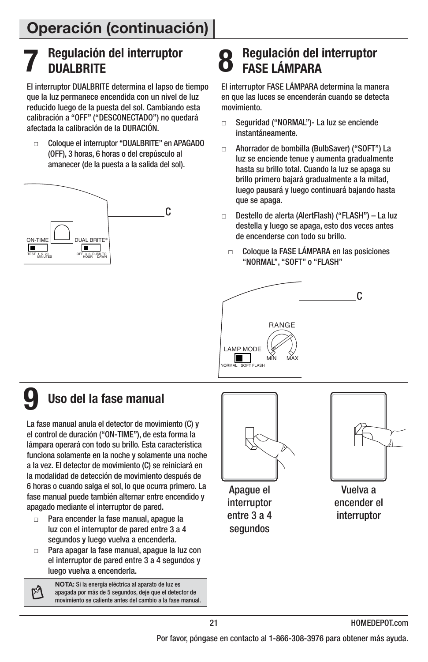#### **7 Regulación del interruptor DUALBRITE**

El interruptor DUALBRITE determina el lapso de tiempo que la luz permanece encendida con un nivel de luz reducido luego de la puesta del sol. Cambiando esta calibración a "OFF" ("DESCONECTADO") no quedará afectada la calibración de la DURACIÓN.

 $\Box$  Coloque el interruptor "DUALBRITE" en APAGADO (OFF), 3 horas, 6 horas o del crepúsculo al amanecer (de la puesta a la salida del sol).



### **8 Regulación del interruptor FASE LÁMPARA**

El interruptor FASE LÁMPARA determina la manera en que las luces se encenderán cuando se detecta movimiento.

- $\Box$  Seguridad ("NORMAL")- La luz se enciende instantáneamente.
- $\Box$  Ahorrador de bombilla (BulbSaver) ("SOFT") La luz se enciende tenue y aumenta gradualmente hasta su brillo total. Cuando la luz se apaga su brillo primero bajará gradualmente a la mitad, luego pausará y luego continuará bajando hasta que se apaga.
- - Destello de alerta (AlertFlash) ("FLASH") – La luz destella y luego se apaga, esto dos veces antes de encenderse con todo su brillo.
	- $\Box$  Coloque la FASE LÁMPARA en las posiciones "NORMAL", "SOFT" o "FLASH"



ſÅ

### **9 Uso del la fase manual**

La fase manual anula el detector de movimiento (C) y el control de duración ("ON-TIME"), de esta forma la lámpara operará con todo su brillo. Esta característica funciona solamente en la noche y solamente una noche a la vez. El detector de movimiento (C) se reiniciará en la modalidad de detección de movimiento después de 6 horas o cuando salga el sol, lo que ocurra primero. La fase manual puede también alternar entre encendido y apagado mediante el interruptor de pared.

- $\blacksquare$  Para encender la fase manual, apague la luz con el interruptor de pared entre 3 a 4 segundos y luego vuelva a encenderla.
- $\Box$  Para apagar la fase manual, apague la luz con el interruptor de pared entre 3 a 4 segundos y luego vuelva a encenderla.

**NOTA:** Si la energía eléctrica al aparato de luz es apagada por más de 5 segundos, deje que el detector de movimiento se caliente antes del cambio a la fase manual.



Apague el interruptor entre 3 a 4 segundos



Vuelva a encender el interruptor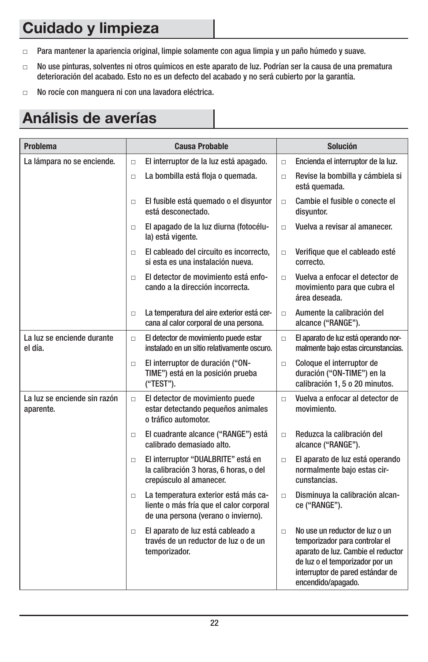### **Cuidado y limpieza**

- $\Box$ Para mantener la apariencia original, limpie solamente con agua limpia y un paño húmedo y suave.
- $\Box$  No use pinturas, solventes ni otros químicos en este aparato de luz. Podrían ser la causa de una prematura deterioración del acabado. Esto no es un defecto del acabado y no será cubierto por la garantía.
- $\Box$ No rocíe con manguera ni con una lavadora eléctrica.

### **Análisis de averías**

| <b>Problema</b>                           | <b>Causa Probable</b>                                                                                                            | <b>Solución</b>                                                                                                                                                                                               |
|-------------------------------------------|----------------------------------------------------------------------------------------------------------------------------------|---------------------------------------------------------------------------------------------------------------------------------------------------------------------------------------------------------------|
| La lámpara no se enciende.                | El interruptor de la luz está apagado.<br>$\Box$                                                                                 | Encienda el interruptor de la luz.<br>$\Box$                                                                                                                                                                  |
|                                           | La bombilla está floja o quemada.<br>$\Box$                                                                                      | Revise la bombilla y cámbiela si<br>$\Box$<br>está quemada.                                                                                                                                                   |
|                                           | El fusible está quemado o el disyuntor<br>$\Box$<br>está desconectado.                                                           | Cambie el fusible o conecte el<br>$\Box$<br>disyuntor.                                                                                                                                                        |
|                                           | El apagado de la luz diurna (fotocélu-<br>$\Box$<br>la) está vigente.                                                            | Vuelva a revisar al amanecer.<br>$\Box$                                                                                                                                                                       |
|                                           | El cableado del circuito es incorrecto,<br>$\Box$<br>si esta es una instalación nueva.                                           | Verifique que el cableado esté<br>$\Box$<br>correcto.                                                                                                                                                         |
|                                           | El detector de movimiento está enfo-<br>$\Box$<br>cando a la dirección incorrecta.                                               | Vuelva a enfocar el detector de<br>$\Box$<br>movimiento para que cubra el<br>área deseada.                                                                                                                    |
|                                           | La temperatura del aire exterior está cer-<br>$\Box$<br>cana al calor corporal de una persona.                                   | Aumente la calibración del<br>$\Box$<br>alcance ("RANGE").                                                                                                                                                    |
| La luz se enciende durante<br>el día.     | El detector de movimiento puede estar<br>$\Box$<br>instalado en un sitio relativamente oscuro.                                   | El aparato de luz está operando nor-<br>$\Box$<br>malmente bajo estas circunstancias.                                                                                                                         |
|                                           | El interruptor de duración ("ON-<br>$\Box$<br>TIME") está en la posición prueba<br>("TEST").                                     | Coloque el interruptor de<br>$\Box$<br>duración ("ON-TIME") en la<br>calibración 1, 5 o 20 minutos.                                                                                                           |
| La luz se enciende sin razón<br>aparente. | El detector de movimiento puede<br>$\Box$<br>estar detectando pequeños animales<br>o tráfico automotor.                          | Vuelva a enfocar al detector de<br>$\Box$<br>movimiento.                                                                                                                                                      |
|                                           | El cuadrante alcance ("RANGE") está<br>$\Box$<br>calibrado demasiado alto.                                                       | Reduzca la calibración del<br>$\Box$<br>alcance ("RANGE").                                                                                                                                                    |
|                                           | El interruptor "DUALBRITE" está en<br>$\Box$<br>la calibración 3 horas, 6 horas, o del<br>crepúsculo al amanecer.                | El aparato de luz está operando<br>$\Box$<br>normalmente bajo estas cir-<br>cunstancias.                                                                                                                      |
|                                           | La temperatura exterior está más ca-<br>$\Box$<br>liente o más fría que el calor corporal<br>de una persona (verano o invierno). | Disminuya la calibración alcan-<br>$\Box$<br>ce ("RANGE").                                                                                                                                                    |
|                                           | El aparato de luz está cableado a<br>$\Box$<br>través de un reductor de luz o de un<br>temporizador.                             | No use un reductor de luz o un<br>$\Box$<br>temporizador para controlar el<br>aparato de luz. Cambie el reductor<br>de luz o el temporizador por un<br>interruptor de pared estándar de<br>encendido/apagado. |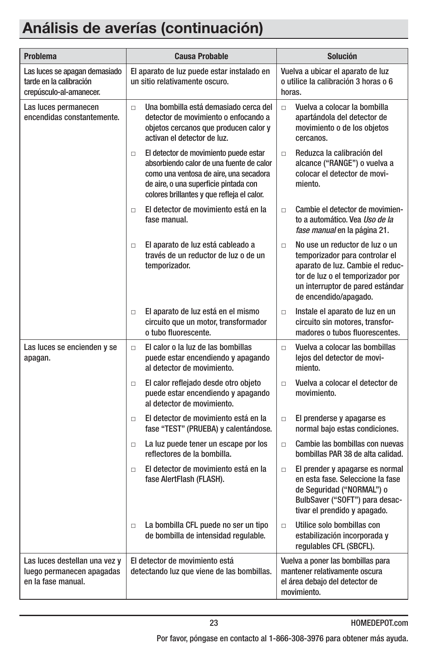### **Análisis de averías (continuación)**

| <b>Problema</b>                                                                     | <b>Causa Probable</b>                                                                                                                                                                                                        | <b>Solución</b>                                                                                                                                                                                                 |
|-------------------------------------------------------------------------------------|------------------------------------------------------------------------------------------------------------------------------------------------------------------------------------------------------------------------------|-----------------------------------------------------------------------------------------------------------------------------------------------------------------------------------------------------------------|
| Las luces se apagan demasiado<br>tarde en la calibración<br>crepúsculo-al-amanecer. | El aparato de luz puede estar instalado en<br>un sitio relativamente oscuro.                                                                                                                                                 | Vuelva a ubicar el aparato de luz<br>o utilice la calibración 3 horas o 6<br>horas.                                                                                                                             |
| Las luces permanecen<br>encendidas constantemente.                                  | Una bombilla está demasiado cerca del<br>$\Box$<br>detector de movimiento o enfocando a<br>objetos cercanos que producen calor y<br>activan el detector de luz.                                                              | Vuelva a colocar la bombilla<br>$\Box$<br>apartándola del detector de<br>movimiento o de los objetos<br>cercanos.                                                                                               |
|                                                                                     | El detector de movimiento puede estar<br>$\Box$<br>absorbiendo calor de una fuente de calor<br>como una ventosa de aire, una secadora<br>de aire, o una superficie pintada con<br>colores brillantes y que refleja el calor. | Reduzca la calibración del<br>Π.<br>alcance ("RANGE") o vuelva a<br>colocar el detector de movi-<br>miento.                                                                                                     |
|                                                                                     | El detector de movimiento está en la<br>$\Box$<br>fase manual.                                                                                                                                                               | Cambie el detector de movimien-<br>$\Box$<br>to a automático. Vea <i>Uso de la</i><br>fase manual en la página 21.                                                                                              |
|                                                                                     | El aparato de luz está cableado a<br>$\Box$<br>través de un reductor de luz o de un<br>temporizador.                                                                                                                         | No use un reductor de luz o un<br>$\Box$<br>temporizador para controlar el<br>aparato de luz. Cambie el reduc-<br>tor de luz o el temporizador por<br>un interruptor de pared estándar<br>de encendido/apagado. |
|                                                                                     | El aparato de luz está en el mismo<br>$\Box$<br>circuito que un motor, transformador<br>o tubo fluorescente.                                                                                                                 | Instale el aparato de luz en un<br>$\Box$<br>circuito sin motores, transfor-<br>madores o tubos fluorescentes.                                                                                                  |
| Las luces se encienden y se<br>apagan.                                              | El calor o la luz de las bombillas<br>$\Box$<br>puede estar encendiendo y apagando<br>al detector de movimiento.                                                                                                             | Vuelva a colocar las bombillas<br>$\Box$<br>lejos del detector de movi-<br>miento.                                                                                                                              |
|                                                                                     | El calor reflejado desde otro objeto<br>$\Box$<br>puede estar encendiendo y apagando<br>al detector de movimiento.                                                                                                           | Vuelva a colocar el detector de<br>$\Box$<br>movimiento.                                                                                                                                                        |
|                                                                                     | El detector de movimiento está en la<br>$\Box$<br>fase "TEST" (PRUEBA) y calentándose.                                                                                                                                       | El prenderse y apagarse es<br>$\Box$<br>normal bajo estas condiciones.                                                                                                                                          |
|                                                                                     | La luz puede tener un escape por los<br>$\Box$<br>reflectores de la bombilla.                                                                                                                                                | Cambie las bombillas con nuevas<br>$\Box$<br>bombillas PAR 38 de alta calidad.                                                                                                                                  |
|                                                                                     | El detector de movimiento está en la<br>$\Box$<br>fase AlertFlash (FLASH).                                                                                                                                                   | El prender y apagarse es normal<br>$\Box$<br>en esta fase. Seleccione la fase<br>de Seguridad ("NORMAL") o<br>BulbSaver ("SOFT") para desac-<br>tivar el prendido y apagado.                                    |
|                                                                                     | La bombilla CFL puede no ser un tipo<br>$\Box$<br>de bombilla de intensidad regulable.                                                                                                                                       | Utilice solo bombillas con<br>$\Box$<br>estabilización incorporada y<br>regulables CFL (SBCFL).                                                                                                                 |
| Las luces destellan una vez y<br>luego permanecen apagadas<br>en la fase manual.    | El detector de movimiento está<br>detectando luz que viene de las bombillas.                                                                                                                                                 | Vuelva a poner las bombillas para<br>mantener relativamente oscura<br>el área debajo del detector de<br>movimiento.                                                                                             |